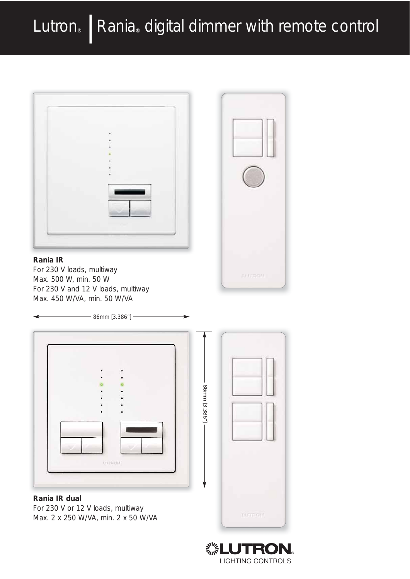# Lutron® | Rania® digital dimmer with remote control



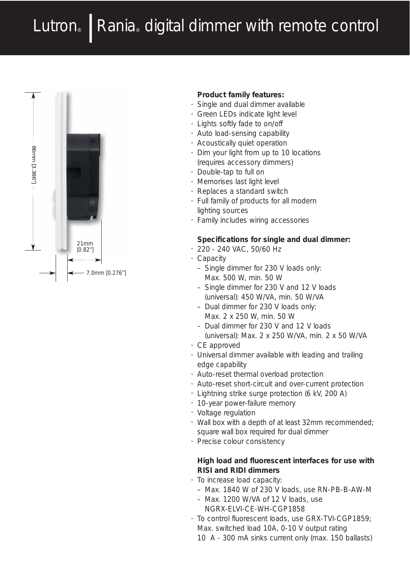## Lutron® | Rania® digital dimmer with remote control



#### **Product family features:**

- Single and dual dimmer available
- Green LEDs indicate light level
- Lights softly fade to on/off
- Auto load-sensing capability
- Acoustically quiet operation
- Dim your light from up to 10 locations (requires accessory dimmers)
- Double-tap to full on
- Memorises last light level
- Replaces a standard switch
- Full family of products for all modern lighting sources
- Family includes wiring accessories

#### **Specifications for single and dual dimmer:**

- 220 240 VAC, 50/60 Hz
- Capacity
	- Single dimmer for 230 V loads only: Max. 500 W, min. 50 W
	- Single dimmer for 230 V and 12 V loads (universal): 450 W/VA, min. 50 W/VA
	- Dual dimmer for 230 V loads only: Max. 2 x 250 W, min. 50 W
	- Dual dimmer for 230 V and 12 V loads
	- (universal): Max. 2 x 250 W/VA, min. 2 x 50 W/VA
- CE approved
- Universal dimmer available with leading and trailing edge capability
- Auto-reset thermal overload protection
- Auto-reset short-circuit and over-current protection
- Lightning strike surge protection (6 kV, 200 A)
- 10-year power-failure memory
- Voltage regulation
- Wall box with a depth of at least 32mm recommended; square wall box required for dual dimmer
- Precise colour consistency

#### **High load and fluorescent interfaces for use with RISI and RIDI dimmers**

- To increase load capacity:
	- Max. 1840 W of 230 V loads, use RN-PB-B-AW-M
	- Max. 1200 W/VA of 12 V loads, use NGRX-ELVI-CE-WH-CGP1858
- To control fluorescent loads, use GRX-TVI-CGP1859; Max. switched load 10A, 0-10 V output rating
	- 10 A 300 mA sinks current only (max. 150 ballasts)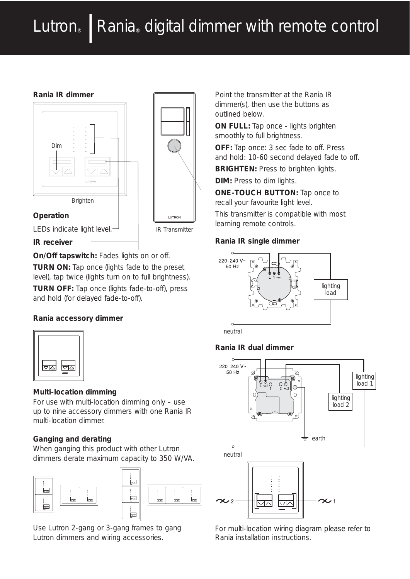# Lutron | Rania digital dimmer with remote control

#### **Rania IR dimmer**





LEDs indicate light level.-

**IR receiver**

**On/Off tapswitch:** Fades lights on or off.

**TURN ON:** Tap once (lights fade to the preset level), tap twice (lights turn on to full brightness).

**TURN OFF:** Tap once (lights fade-to-off), press and hold (for delayed fade-to-off).

## **Rania accessory dimmer**



## **Multi-location dimming**

For use with multi-location dimming only – use up to nine accessory dimmers with one Rania IR multi-location dimmer.

## **Ganging and derating**

When ganging this product with other Lutron dimmers derate maximum capacity to 350 W/VA.





Use Lutron 2-gang or 3-gang frames to gang Lutron dimmers and wiring accessories.

Point the transmitter at the Rania IR dimmer(s), then use the buttons as outlined below.

**ON FULL:** Tap once - lights brighten smoothly to full brightness.

**OFF:** Tap once: 3 sec fade to off. Press and hold: 10-60 second delayed fade to off.

**BRIGHTEN:** Press to brighten lights.

**DIM:** Press to dim lights.

**ONE-TOUCH BUTTON:** Tap once to recall your favourite light level.

This transmitter is compatible with most learning remote controls.

## **Rania IR single dimmer**



neutral

## **Rania IR dual dimmer**



For multi-location wiring diagram please refer to Rania installation instructions.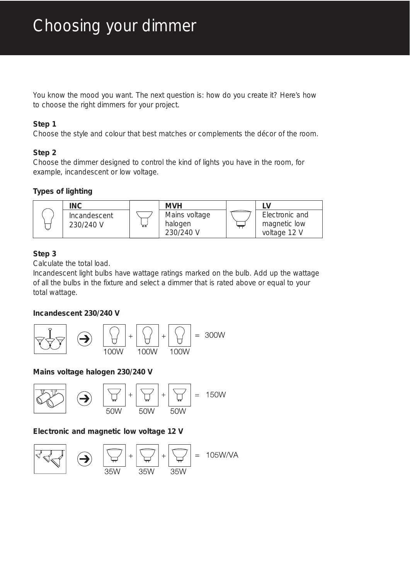You know the mood you want. The next question is: how do you create it? Here's how to choose the right dimmers for your project.

#### **Step 1**

Choose the style and colour that best matches or complements the décor of the room.

## **Step 2**

Choose the dimmer designed to control the kind of lights you have in the room, for example, incandescent or low voltage.

## **Types of lighting**



## **Step 3**

Calculate the total load.

Incandescent light bulbs have wattage ratings marked on the bulb. Add up the wattage of all the bulbs in the fixture and select a dimmer that is rated above or equal to your total wattage.

## **Incandescent 230/240 V**



## **Mains voltage halogen 230/240 V**



## **Electronic and magnetic low voltage 12 V**

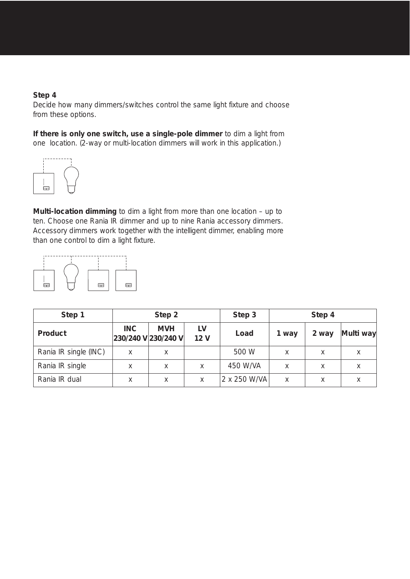#### **Step 4**

Decide how many dimmers/switches control the same light fixture and choose from these options.

**If there is only one switch, use a single-pole dimmer** to dim a light from one location. (2-way or multi-location dimmers will work in this application.)



**Multi-location dimming** to dim a light from more than one location – up to ten. Choose one Rania IR dimmer and up to nine Rania accessory dimmers. Accessory dimmers work together with the intelligent dimmer, enabling more than one control to dim a light fixture.



| Step 1                | Step 2 |                                   |                       | Step 3       | Step 4 |       |           |
|-----------------------|--------|-----------------------------------|-----------------------|--------------|--------|-------|-----------|
| Product               | INC.   | <b>MVH</b><br>230/240 V 230/240 V | LV<br>12 <sub>V</sub> | Load         | 1 way  | 2 way | Multi way |
| Rania IR single (INC) | X      | X                                 |                       | 500 W        | X      | X     | X         |
| Rania IR single       | X      | X                                 | X                     | 450 W/VA     | Χ      | X     | X         |
| Rania IR dual         | Χ      | X                                 | X                     | 2 x 250 W/VA | X      |       |           |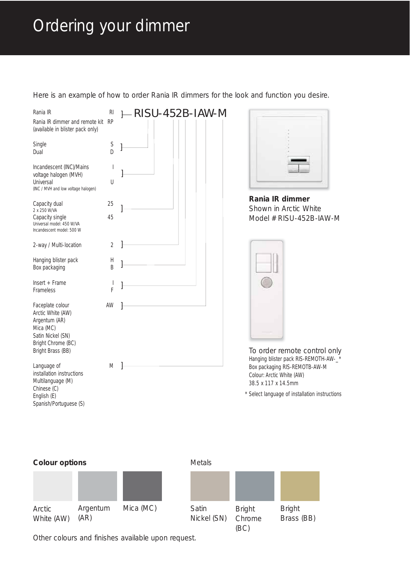## Ordering your dimmer

Here is an example of how to order Rania IR dimmers for the look and function you desire.



Nickel (SN)

Chrome (BC)

Brass (BB)

Other colours and finishes available upon request.

(AR)

White (AW)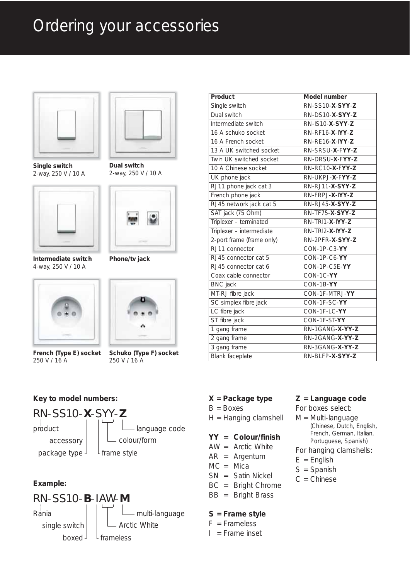## Ordering your accessories



**Single switch**  2-way, 250 V / 10 A



**Intermediate switch**  4-way, 250 V / 10 A



**French (Type E) socket** 250 V / 16 A



**Dual switch**  2-way, 250 V / 10 A





**Schuko (Type F) socket** 250 V / 16 A

## **Key to model numbers:**



## **Example:**



| Product                   | Model number                            |  |  |
|---------------------------|-----------------------------------------|--|--|
| Single switch             | RN-SS10-X-SYY-Z                         |  |  |
| Dual switch               | RN-DS10-X-SYY-Z                         |  |  |
| Intermediate switch       | RN-IS10-X-SYY-Z                         |  |  |
| 16 A schuko socket        | $RN-RF16-X-NYY-Z$                       |  |  |
| 16 A French socket        | RN-RE16-X-IYY-Z                         |  |  |
| 13 A UK switched socket   | RN-SRSU-X-FYY-Z                         |  |  |
| Twin UK switched socket   | RN-DRSU-X-FYY-Z                         |  |  |
| 10 A Chinese socket       | RN-RC10-X-FYY-Z                         |  |  |
| UK phone jack             | RN-UKPJ-X-FYY-Z                         |  |  |
| RJ11 phone jack cat 3     | RN-RJ11-X-SYY-Z                         |  |  |
| French phone jack         | $RN$ -FRP.J-X-IYY-Z                     |  |  |
| RJ45 network jack cat 5   | RN-RJ45-X-SYY-Z                         |  |  |
| SAT jack (75 Ohm)         | RN-TF75-X-SYY-Z                         |  |  |
| Triplexer - terminated    | $RN$ -TRI1-X-IYY-Z                      |  |  |
| Triplexer - intermediate  | $RN$ -TRI2-X-IYY-Z                      |  |  |
| 2-port frame (frame only) | RN-2PFR-X-SYY-Z                         |  |  |
| RJ11 connector            | CON-1P-C3-YY                            |  |  |
| RJ45 connector cat 5      | $\overline{CON-1P\text{-}C6\text{-}YY}$ |  |  |
| RJ45 connector cat 6      | CON-1P-C5E-YY                           |  |  |
| Coax cable connector      | CON-1C-YY                               |  |  |
| <b>BNC</b> jack           | CON-1B-YY                               |  |  |
| MT-RJ fibre jack          | CON-1F-MTRJ-YY                          |  |  |
| SC simplex fibre jack     | CON-1F-SC-YY                            |  |  |
| LC fibre jack             | CON-1F-LC-YY                            |  |  |
| ST fibre jack             | CON-1F-ST-YY                            |  |  |
| 1 gang frame              | RN-1GANG-X-YY-Z                         |  |  |
| 2 gang frame              | RN-2GANG-X-YY-Z                         |  |  |
| 3 gang frame              | RN-3GANG-X-YY-Z                         |  |  |
| Blank faceplate           | RN-BLFP-X-SYY-Z                         |  |  |

#### **X = Package type**

 $B = \text{Boxes}$ 

H = Hanging clamshell

#### **YY = Colour/finish**

- AW = Arctic White
- AR = Argentum
- $MC = Mica$
- SN = Satin Nickel
- BC = Bright Chrome
- BB = Bright Brass

#### **S = Frame style**

- $F =$ Frameless
- $I =$  Frame inset

#### **Z = Language code**

For boxes select:

M = Multi-language (Chinese, Dutch, English, French, German, Italian, Portuguese, Spanish)

For hanging clamshells:

- $E =$  English
- S = Spanish
- $C =$ Chinese

**Phone/tv jack**